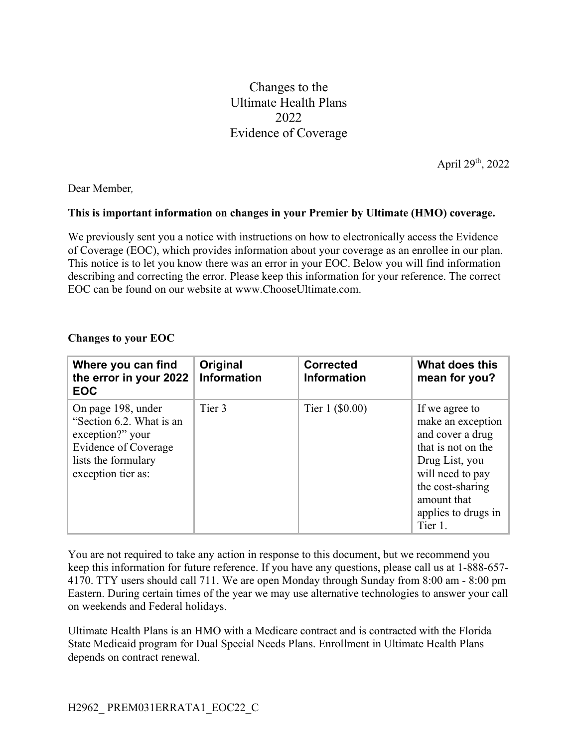Changes to the Ultimate Health Plans 2022 Evidence of Coverage

April 29th, 2022

Dear Member*,*

## **This is important information on changes in your Premier by Ultimate (HMO) coverage.**

We previously sent you a notice with instructions on how to electronically access the Evidence of Coverage (EOC), which provides information about your coverage as an enrollee in our plan. This notice is to let you know there was an error in your EOC. Below you will find information describing and correcting the error. Please keep this information for your reference. The correct EOC can be found on our website at www.ChooseUltimate.com.

| Where you can find<br>the error in your 2022<br><b>EOC</b>                                                                              | Original<br><b>Information</b> | <b>Corrected</b><br><b>Information</b> | What does this<br>mean for you?                                                                                                                                                          |
|-----------------------------------------------------------------------------------------------------------------------------------------|--------------------------------|----------------------------------------|------------------------------------------------------------------------------------------------------------------------------------------------------------------------------------------|
| On page 198, under<br>"Section 6.2. What is an<br>exception?" your<br>Evidence of Coverage<br>lists the formulary<br>exception tier as: | Tier 3                         | Tier 1 (\$0.00)                        | If we agree to<br>make an exception<br>and cover a drug<br>that is not on the<br>Drug List, you<br>will need to pay<br>the cost-sharing<br>amount that<br>applies to drugs in<br>Tier 1. |

## **Changes to your EOC**

You are not required to take any action in response to this document, but we recommend you keep this information for future reference. If you have any questions, please call us at 1-888-657- 4170. TTY users should call 711. We are open Monday through Sunday from 8:00 am - 8:00 pm Eastern. During certain times of the year we may use alternative technologies to answer your call on weekends and Federal holidays.

Ultimate Health Plans is an HMO with a Medicare contract and is contracted with the Florida State Medicaid program for Dual Special Needs Plans. Enrollment in Ultimate Health Plans depends on contract renewal.